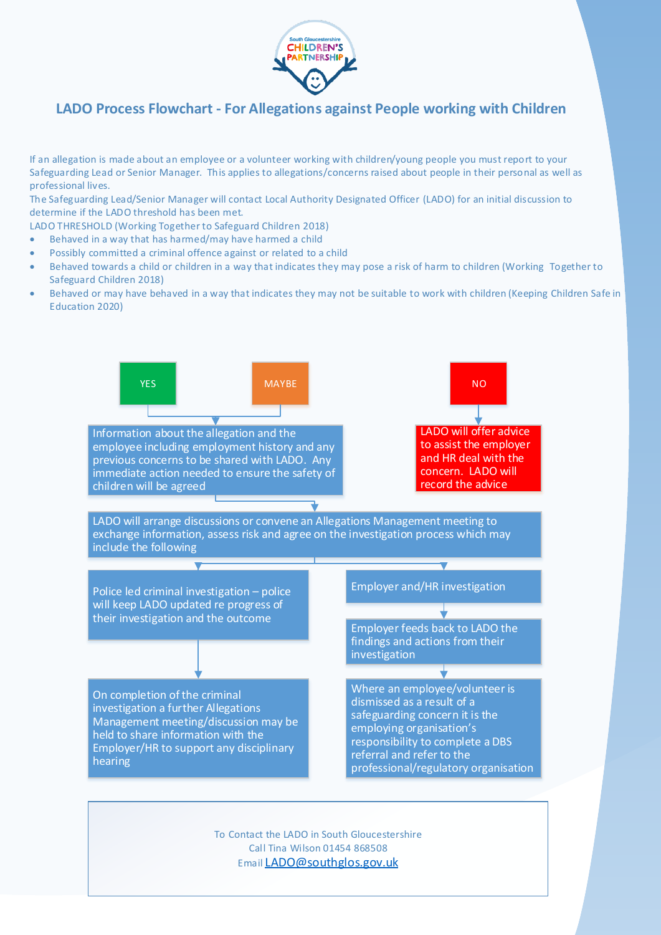

## **LADO Process Flowchart - For Allegations against People working with Children**

If an allegation is made about an employee or a volunteer working with children/young people you must report to your Safeguarding Lead or Senior Manager. This applies to allegations/concerns raised about people in their personal as well as professional lives.

The Safeguarding Lead/Senior Manager will contact Local Authority Designated Officer (LADO) for an initial discussion to determine if the LADO threshold has been met.

LADO THRESHOLD (Working Together to Safeguard Children 2018)

- Behaved in a way that has harmed/may have harmed a child
- Possibly committed a criminal offence against or related to a child
- Behaved towards a child or children in a way that indicates they may pose a risk of harm to children (Working Together to Safeguard Children 2018)
- Behaved or may have behaved in a way that indicates they may not be suitable to work with children (Keeping Children Safe in Education 2020)



Call Tina Wilson 01454 868508

## Email LADO@southglos.gov.uk